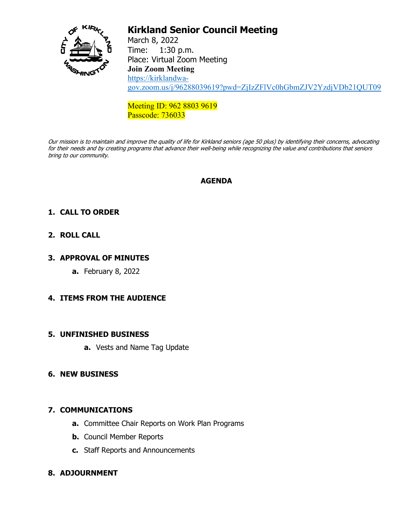

# **Kirkland Senior Council Meeting**

March 8, 2022 Time: 1:30 p.m. Place: Virtual Zoom Meeting **Join Zoom Meeting** [https://kirklandwa](https://kirklandwa-gov.zoom.us/j/96288039619?pwd=ZjIzZFlVc0hGbmZJV2YzdjVDb21QUT09)[gov.zoom.us/j/96288039619?pwd=ZjIzZFlVc0hGbmZJV2YzdjVDb21QUT09](https://kirklandwa-gov.zoom.us/j/96288039619?pwd=ZjIzZFlVc0hGbmZJV2YzdjVDb21QUT09)

Meeting ID: 962 8803 9619 Passcode: 736033

Our mission is to maintain and improve the quality of life for Kirkland seniors (age 50 plus) by identifying their concerns, advocating for their needs and by creating programs that advance their well-being while recognizing the value and contributions that seniors bring to our community.

## **AGENDA**

## **1. CALL TO ORDER**

## **2. ROLL CALL**

## **3. APPROVAL OF MINUTES**

**a.** February 8, 2022

## **4. ITEMS FROM THE AUDIENCE**

## **5. UNFINISHED BUSINESS**

**a.** Vests and Name Tag Update

## **6. NEW BUSINESS**

## **7. COMMUNICATIONS**

- **a.** Committee Chair Reports on Work Plan Programs
- **b.** Council Member Reports
- **c.** Staff Reports and Announcements

## **8. ADJOURNMENT**